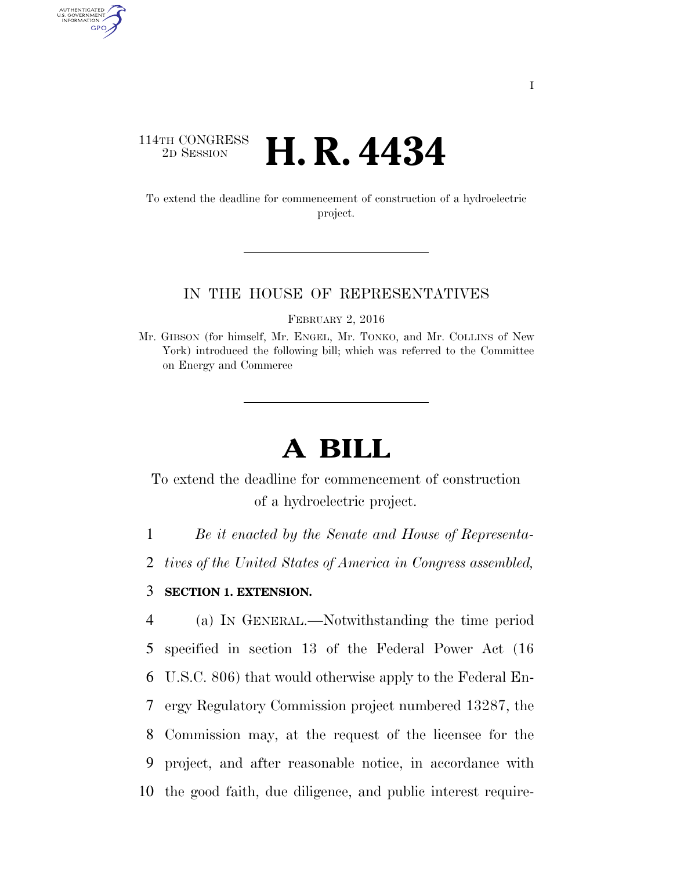## 114TH CONGRESS <sup>2D SESSION</sup> **H. R. 4434**

AUTHENTICATED<br>U.S. GOVERNMENT<br>INFORMATION GPO

> To extend the deadline for commencement of construction of a hydroelectric project.

## IN THE HOUSE OF REPRESENTATIVES

FEBRUARY 2, 2016

## **A BILL**

To extend the deadline for commencement of construction of a hydroelectric project.

1 *Be it enacted by the Senate and House of Representa-*

2 *tives of the United States of America in Congress assembled,* 

## 3 **SECTION 1. EXTENSION.**

 (a) IN GENERAL.—Notwithstanding the time period specified in section 13 of the Federal Power Act (16 U.S.C. 806) that would otherwise apply to the Federal En- ergy Regulatory Commission project numbered 13287, the Commission may, at the request of the licensee for the project, and after reasonable notice, in accordance with the good faith, due diligence, and public interest require-

Mr. GIBSON (for himself, Mr. ENGEL, Mr. TONKO, and Mr. COLLINS of New York) introduced the following bill; which was referred to the Committee on Energy and Commerce